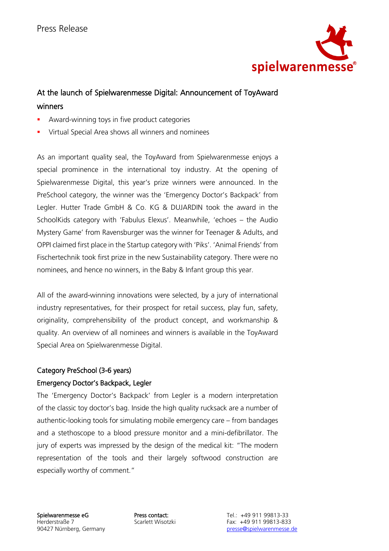

# At the launch of Spielwarenmesse Digital: Announcement of ToyAward winners

- Award-winning toys in five product categories
- Virtual Special Area shows all winners and nominees

As an important quality seal, the ToyAward from Spielwarenmesse enjoys a special prominence in the international toy industry. At the opening of Spielwarenmesse Digital, this year's prize winners were announced. In the PreSchool category, the winner was the 'Emergency Doctor's Backpack' from Legler. Hutter Trade GmbH & Co. KG & DUJARDIN took the award in the SchoolKids category with 'Fabulus Elexus'. Meanwhile, 'echoes – the Audio Mystery Game' from Ravensburger was the winner for Teenager & Adults, and OPPI claimed first place in the Startup category with 'Piks'. 'Animal Friends' from Fischertechnik took first prize in the new Sustainability category. There were no nominees, and hence no winners, in the Baby & Infant group this year.

All of the award-winning innovations were selected, by a jury of international industry representatives, for their prospect for retail success, play fun, safety, originality, comprehensibility of the product concept, and workmanship & quality. An overview of all nominees and winners is available in the ToyAward Special Area on Spielwarenmesse Digital.

### Category PreSchool (3-6 years)

### Emergency Doctor's Backpack, Legler

The 'Emergency Doctor's Backpack' from Legler is a modern interpretation of the classic toy doctor's bag. Inside the high quality rucksack are a number of authentic-looking tools for simulating mobile emergency care – from bandages and a stethoscope to a blood pressure monitor and a mini-defibrillator. The jury of experts was impressed by the design of the medical kit: "The modern representation of the tools and their largely softwood construction are especially worthy of comment."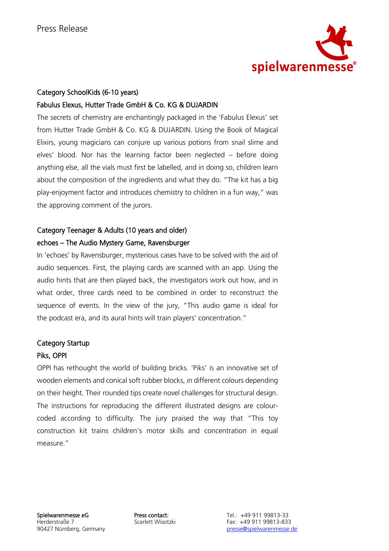

#### Category SchoolKids (6-10 years)

#### Fabulus Elexus, Hutter Trade GmbH & Co. KG & DUJARDIN

The secrets of chemistry are enchantingly packaged in the 'Fabulus Elexus' set from Hutter Trade GmbH & Co. KG & DUJARDIN. Using the Book of Magical Elixirs, young magicians can conjure up various potions from snail slime and elves' blood. Nor has the learning factor been neglected – before doing anything else, all the vials must first be labelled, and in doing so, children learn about the composition of the ingredients and what they do. "The kit has a big play-enjoyment factor and introduces chemistry to children in a fun way," was the approving comment of the jurors.

## Category Teenager & Adults (10 years and older) echoes – The Audio Mystery Game, Ravensburger

In 'echoes' by Ravensburger, mysterious cases have to be solved with the aid of audio sequences. First, the playing cards are scanned with an app. Using the audio hints that are then played back, the investigators work out how, and in what order, three cards need to be combined in order to reconstruct the sequence of events. In the view of the jury, "This audio game is ideal for the podcast era, and its aural hints will train players' concentration."

#### Category Startup

#### Piks, OPPI

OPPI has rethought the world of building bricks. 'Piks' is an innovative set of wooden elements and conical soft rubber blocks, in different colours depending on their height. Their rounded tips create novel challenges for structural design. The instructions for reproducing the different illustrated designs are colourcoded according to difficulty. The jury praised the way that "This toy construction kit trains children's motor skills and concentration in equal measure."